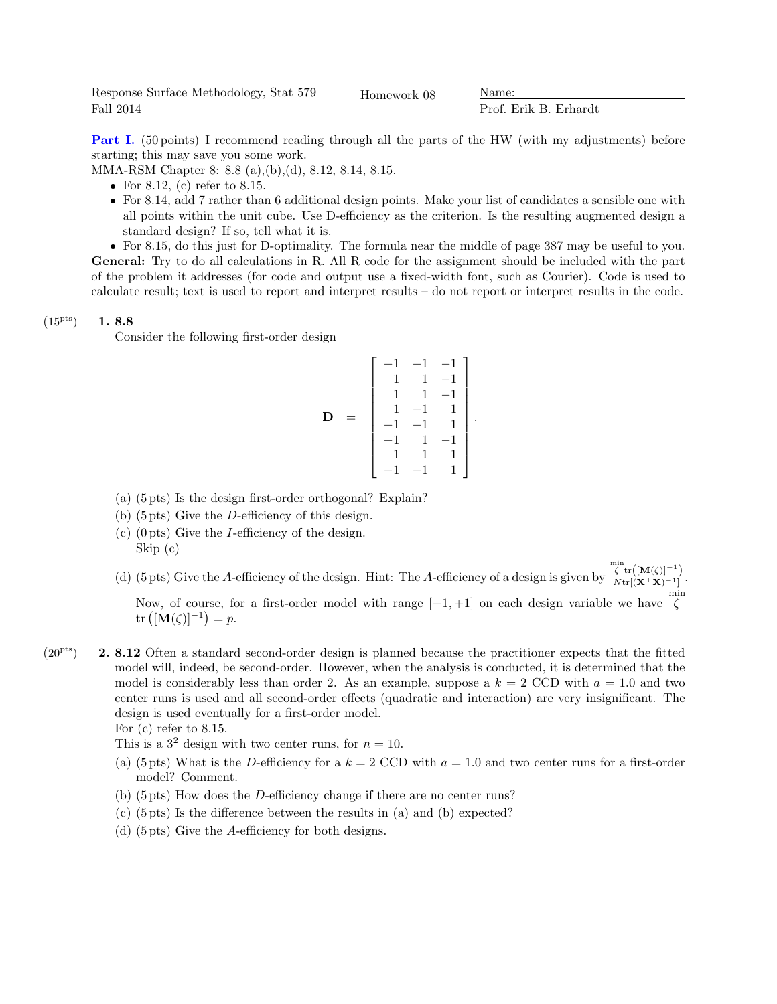Response Surface Methodology, Stat 579 Fall 2014

Homework 08 Mame:

Prof. Erik B. Erhardt

Part I. (50 points) I recommend reading through all the parts of the HW (with my adjustments) before starting; this may save you some work.

MMA-RSM Chapter 8: 8.8 (a),(b),(d), 8.12, 8.14, 8.15.

- For 8.12, (c) refer to 8.15.
- For 8.14, add 7 rather than 6 additional design points. Make your list of candidates a sensible one with all points within the unit cube. Use D-efficiency as the criterion. Is the resulting augmented design a standard design? If so, tell what it is.

 For 8.15, do this just for D-optimality. The formula near the middle of page 387 may be useful to you. General: Try to do all calculations in R. All R code for the assignment should be included with the part of the problem it addresses (for code and output use a fixed-width font, such as Courier). Code is used to calculate result; text is used to report and interpret results – do not report or interpret results in the code.

## $(15^{pts})$  1. 8.8

Consider the following first-order design

$$
\mathbf{D} = \begin{bmatrix} -1 & -1 & -1 \\ 1 & 1 & -1 \\ 1 & 1 & -1 \\ 1 & -1 & 1 \\ -1 & -1 & 1 \\ -1 & 1 & -1 \\ 1 & 1 & 1 \\ -1 & -1 & 1 \end{bmatrix}.
$$

- (a) (5 pts) Is the design first-order orthogonal? Explain?
- (b) (5 pts) Give the D-efficiency of this design.
- $(c)$  (0 pts) Give the *I*-efficiency of the design. Skip (c)
- (d) (5 pts) Give the A-efficiency of the design. Hint: The A-efficiency of a design is given by  $\big\langle \mathrm{min}\limits_{\zeta} \mathrm{tr}\big([\mathbf{M}(\zeta)]^{-1}\big)$  $N\mathrm{tr}[(\mathbf{X}^{\top}\mathbf{X})^{-1}]$ . Now, of course, for a first-order model with range  $[-1, +1]$  on each design variable we have  $\zeta$  $\text{tr}\left( [\mathbf{M}(\zeta)]^{-1}\right) = p.$
- $(20<sup>pts</sup>)$  **2. 8.12** Often a standard second-order design is planned because the practitioner expects that the fitted model will, indeed, be second-order. However, when the analysis is conducted, it is determined that the model is considerably less than order 2. As an example, suppose a  $k = 2$  CCD with  $a = 1.0$  and two center runs is used and all second-order effects (quadratic and interaction) are very insignificant. The design is used eventually for a first-order model.

For (c) refer to 8.15. This is a  $3^2$  design with two center runs, for  $n = 10$ .

- (a) (5 pts) What is the D-efficiency for a  $k = 2$  CCD with  $a = 1.0$  and two center runs for a first-order model? Comment.
- (b) (5 pts) How does the D-efficiency change if there are no center runs?
- (c) (5 pts) Is the difference between the results in (a) and (b) expected?
- (d) (5 pts) Give the A-efficiency for both designs.